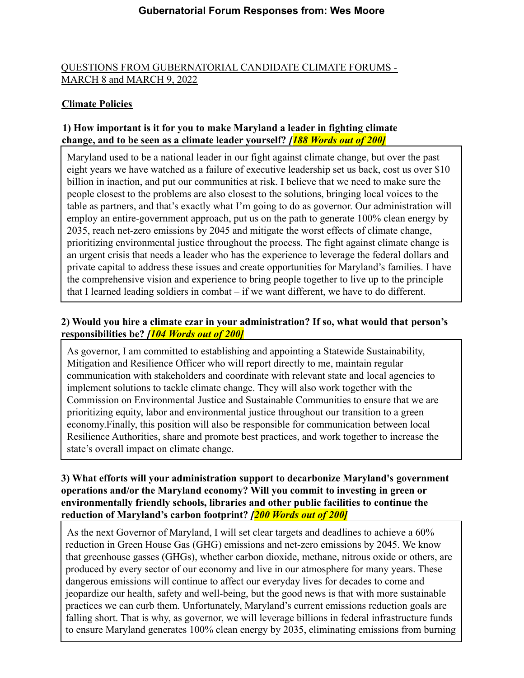# QUESTIONS FROM GUBERNATORIAL CANDIDATE CLIMATE FORUMS - MARCH 8 and MARCH 9, 2022

# **Climate Policies**

# **1) How important is it for you to make Maryland a leader in fighting climate change, and to be seen as a climate leader yourself?** *[188 Words out of 200]*

Maryland used to be a national leader in our fight against climate change, but over the past eight years we have watched as a failure of executive leadership set us back, cost us over \$10 billion in inaction, and put our communities at risk. I believe that we need to make sure the people closest to the problems are also closest to the solutions, bringing local voices to the table as partners, and that's exactly what I'm going to do as governor. Our administration will employ an entire-government approach, put us on the path to generate 100% clean energy by 2035, reach net-zero emissions by 2045 and mitigate the worst effects of climate change, prioritizing environmental justice throughout the process. The fight against climate change is an urgent crisis that needs a leader who has the experience to leverage the federal dollars and private capital to address these issues and create opportunities for Maryland's families. I have the comprehensive vision and experience to bring people together to live up to the principle that I learned leading soldiers in combat – if we want different, we have to do different.

# **2) Would you hire a climate czar in your administration? If so, what would that person's responsibilities be?** *[104 Words out of 200]*

As governor, I am committed to establishing and appointing a Statewide Sustainability, Mitigation and Resilience Officer who will report directly to me, maintain regular communication with stakeholders and coordinate with relevant state and local agencies to implement solutions to tackle climate change. They will also work together with the Commission on Environmental Justice and Sustainable Communities to ensure that we are prioritizing equity, labor and environmental justice throughout our transition to a green economy.Finally, this position will also be responsible for communication between local Resilience Authorities, share and promote best practices, and work together to increase the state's overall impact on climate change.

# **3) What efforts will your administration support to decarbonize Maryland's government operations and/or the Maryland economy? Will you commit to investing in green or environmentally friendly schools, libraries and other public facilities to continue the reduction of Maryland's carbon footprint?** *[200 Words out of 200]*

As the next Governor of Maryland, I will set clear targets and deadlines to achieve a 60% reduction in Green House Gas (GHG) emissions and net-zero emissions by 2045. We know that greenhouse gasses (GHGs), whether carbon dioxide, methane, nitrous oxide or others, are produced by every sector of our economy and live in our atmosphere for many years. These dangerous emissions will continue to affect our everyday lives for decades to come and jeopardize our health, safety and well-being, but the good news is that with more sustainable practices we can curb them. Unfortunately, Maryland's current emissions reduction goals are falling short. That is why, as governor, we will leverage billions in federal infrastructure funds to ensure Maryland generates 100% clean energy by 2035, eliminating emissions from burning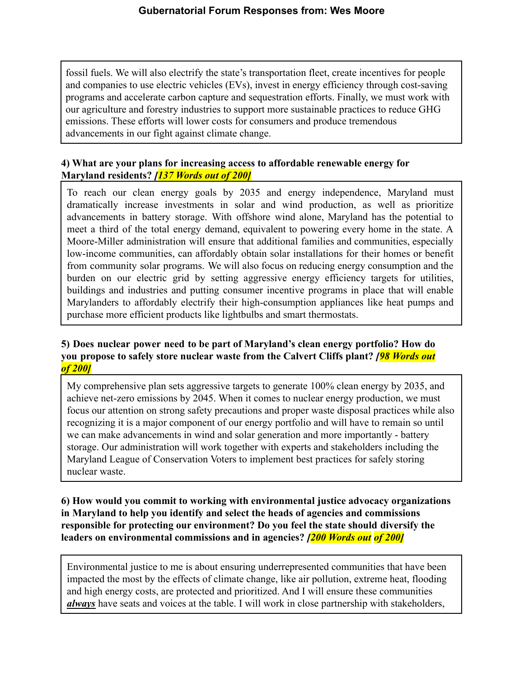fossil fuels. We will also electrify the state's transportation fleet, create incentives for people and companies to use electric vehicles (EVs), invest in energy efficiency through cost-saving programs and accelerate carbon capture and sequestration efforts. Finally, we must work with our agriculture and forestry industries to support more sustainable practices to reduce GHG emissions. These efforts will lower costs for consumers and produce tremendous advancements in our fight against climate change.

### **4) What are your plans for increasing access to affordable renewable energy for Maryland residents?** *[137 Words out of 200]*

To reach our clean energy goals by 2035 and energy independence, Maryland must dramatically increase investments in solar and wind production, as well as prioritize advancements in battery storage. With offshore wind alone, Maryland has the potential to meet a third of the total energy demand, equivalent to powering every home in the state. A Moore-Miller administration will ensure that additional families and communities, especially low-income communities, can affordably obtain solar installations for their homes or benefit from community solar programs. We will also focus on reducing energy consumption and the burden on our electric grid by setting aggressive energy efficiency targets for utilities, buildings and industries and putting consumer incentive programs in place that will enable Marylanders to affordably electrify their high-consumption appliances like heat pumps and purchase more efficient products like lightbulbs and smart thermostats.

#### **5) Does nuclear power need to be part of Maryland's clean energy portfolio? How do you propose to safely store nuclear waste from the Calvert Cliffs plant?** *[98 Words out of 200]*

My comprehensive plan sets aggressive targets to generate 100% clean energy by 2035, and achieve net-zero emissions by 2045. When it comes to nuclear energy production, we must focus our attention on strong safety precautions and proper waste disposal practices while also recognizing it is a major component of our energy portfolio and will have to remain so until we can make advancements in wind and solar generation and more importantly - battery storage. Our administration will work together with experts and stakeholders including the Maryland League of Conservation Voters to implement best practices for safely storing nuclear waste.

## **6) How would you commit to working with environmental justice advocacy organizations in Maryland to help you identify and select the heads of agencies and commissions responsible for protecting our environment? Do you feel the state should diversify the leaders on environmental commissions and in agencies?** *[200 Words out of 200]*

Environmental justice to me is about ensuring underrepresented communities that have been impacted the most by the effects of climate change, like air pollution, extreme heat, flooding and high energy costs, are protected and prioritized. And I will ensure these communities *always* have seats and voices at the table. I will work in close partnership with stakeholders,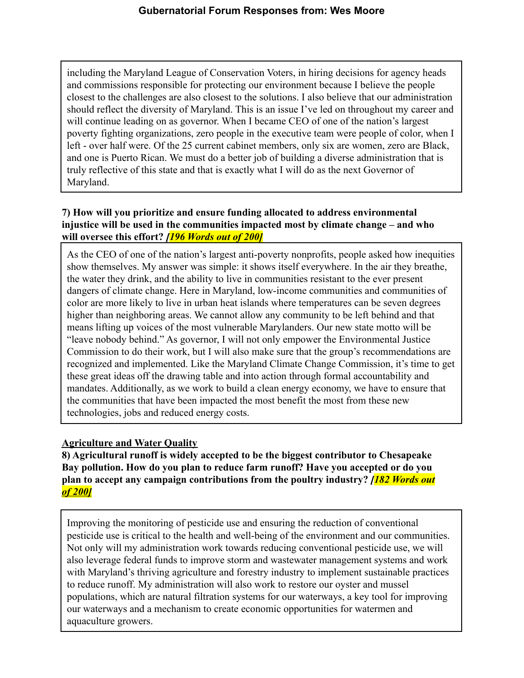including the Maryland League of Conservation Voters, in hiring decisions for agency heads and commissions responsible for protecting our environment because I believe the people closest to the challenges are also closest to the solutions. I also believe that our administration should reflect the diversity of Maryland. This is an issue I've led on throughout my career and will continue leading on as governor. When I became CEO of one of the nation's largest poverty fighting organizations, zero people in the executive team were people of color, when I left - over half were. Of the 25 current cabinet members, only six are women, zero are Black, and one is Puerto Rican. We must do a better job of building a diverse administration that is truly reflective of this state and that is exactly what I will do as the next Governor of Maryland.

# **7) How will you prioritize and ensure funding allocated to address environmental injustice will be used in the communities impacted most by climate change – and who will oversee this effort?** *[196 Words out of 200]*

As the CEO of one of the nation's largest anti-poverty nonprofits, people asked how inequities show themselves. My answer was simple: it shows itself everywhere. In the air they breathe, the water they drink, and the ability to live in communities resistant to the ever present dangers of climate change. Here in Maryland, low-income communities and communities of color are more likely to live in urban heat islands where temperatures can be seven degrees higher than neighboring areas. We cannot allow any community to be left behind and that means lifting up voices of the most vulnerable Marylanders. Our new state motto will be "leave nobody behind." As governor, I will not only empower the Environmental Justice Commission to do their work, but I will also make sure that the group's recommendations are recognized and implemented. Like the Maryland Climate Change Commission, it's time to get these great ideas off the drawing table and into action through formal accountability and mandates. Additionally, as we work to build a clean energy economy, we have to ensure that the communities that have been impacted the most benefit the most from these new technologies, jobs and reduced energy costs.

# **Agriculture and Water Quality**

**8) Agricultural runoff is widely accepted to be the biggest contributor to Chesapeake Bay pollution. How do you plan to reduce farm runoff? Have you accepted or do you plan to accept any campaign contributions from the poultry industry?** *[182 Words out of 200]*

Improving the monitoring of pesticide use and ensuring the reduction of conventional pesticide use is critical to the health and well-being of the environment and our communities. Not only will my administration work towards reducing conventional pesticide use, we will also leverage federal funds to improve storm and wastewater management systems and work with Maryland's thriving agriculture and forestry industry to implement sustainable practices to reduce runoff. My administration will also work to restore our oyster and mussel populations, which are natural filtration systems for our waterways, a key tool for improving our waterways and a mechanism to create economic opportunities for watermen and aquaculture growers.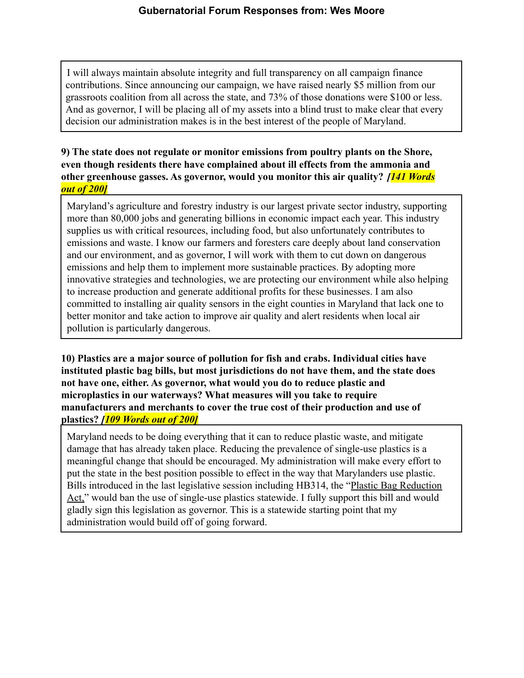I will always maintain absolute integrity and full transparency on all campaign finance contributions. Since announcing our campaign, we have raised nearly \$5 million from our grassroots coalition from all across the state, and 73% of those donations were \$100 or less. And as governor, I will be placing all of my assets into a blind trust to make clear that every decision our administration makes is in the best interest of the people of Maryland.

### **9) The state does not regulate or monitor emissions from poultry plants on the Shore, even though residents there have complained about ill effects from the ammonia and other greenhouse gasses. As governor, would you monitor this air quality?** *[141 Words out of 200]*

Maryland's agriculture and forestry industry is our largest private sector industry, supporting more than 80,000 jobs and generating billions in economic impact each year. This industry supplies us with critical resources, including food, but also unfortunately contributes to emissions and waste. I know our farmers and foresters care deeply about land conservation and our environment, and as governor, I will work with them to cut down on dangerous emissions and help them to implement more sustainable practices. By adopting more innovative strategies and technologies, we are protecting our environment while also helping to increase production and generate additional profits for these businesses. I am also committed to installing air quality sensors in the eight counties in Maryland that lack one to better monitor and take action to improve air quality and alert residents when local air pollution is particularly dangerous.

**10) Plastics are a major source of pollution for fish and crabs. Individual cities have instituted plastic bag bills, but most jurisdictions do not have them, and the state does not have one, either. As governor, what would you do to reduce plastic and microplastics in our waterways? What measures will you take to require manufacturers and merchants to cover the true cost of their production and use of plastics?** *[109 Words out of 200]*

Maryland needs to be doing everything that it can to reduce plastic waste, and mitigate damage that has already taken place. Reducing the prevalence of single-use plastics is a meaningful change that should be encouraged. My administration will make every effort to put the state in the best position possible to effect in the way that Marylanders use plastic. Bills introduced in the last legislative session including HB314, the "Plastic Bag Reduction Act," would ban the use of single-use plastics statewide. I fully support this bill and would gladly sign this legislation as governor. This is a statewide starting point that my administration would build off of going forward.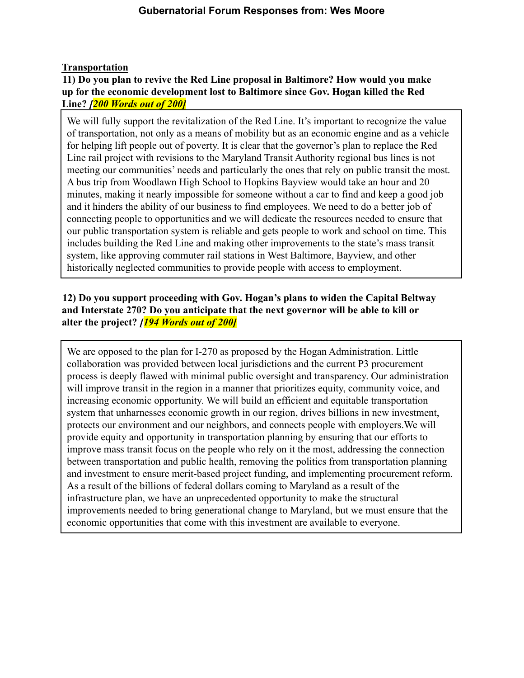## **Transportation**

## **11) Do you plan to revive the Red Line proposal in Baltimore? How would you make up for the economic development lost to Baltimore since Gov. Hogan killed the Red Line?** *[200 Words out of 200]*

We will fully support the revitalization of the Red Line. It's important to recognize the value of transportation, not only as a means of mobility but as an economic engine and as a vehicle for helping lift people out of poverty. It is clear that the governor's plan to replace the Red Line rail project with revisions to the Maryland Transit Authority regional bus lines is not meeting our communities' needs and particularly the ones that rely on public transit the most. A bus trip from Woodlawn High School to Hopkins Bayview would take an hour and 20 minutes, making it nearly impossible for someone without a car to find and keep a good job and it hinders the ability of our business to find employees. We need to do a better job of connecting people to opportunities and we will dedicate the resources needed to ensure that our public transportation system is reliable and gets people to work and school on time. This includes building the Red Line and making other improvements to the state's mass transit system, like approving commuter rail stations in West Baltimore, Bayview, and other historically neglected communities to provide people with access to employment.

# **12) Do you support proceeding with Gov. Hogan's plans to widen the Capital Beltway and Interstate 270? Do you anticipate that the next governor will be able to kill or alter the project?** *[194 Words out of 200]*

We are opposed to the plan for I-270 as proposed by the Hogan Administration. Little collaboration was provided between local jurisdictions and the current P3 procurement process is deeply flawed with minimal public oversight and transparency. Our administration will improve transit in the region in a manner that prioritizes equity, community voice, and increasing economic opportunity. We will build an efficient and equitable transportation system that unharnesses economic growth in our region, drives billions in new investment, protects our environment and our neighbors, and connects people with employers.We will provide equity and opportunity in transportation planning by ensuring that our efforts to improve mass transit focus on the people who rely on it the most, addressing the connection between transportation and public health, removing the politics from transportation planning and investment to ensure merit-based project funding, and implementing procurement reform. As a result of the billions of federal dollars coming to Maryland as a result of the infrastructure plan, we have an unprecedented opportunity to make the structural improvements needed to bring generational change to Maryland, but we must ensure that the economic opportunities that come with this investment are available to everyone.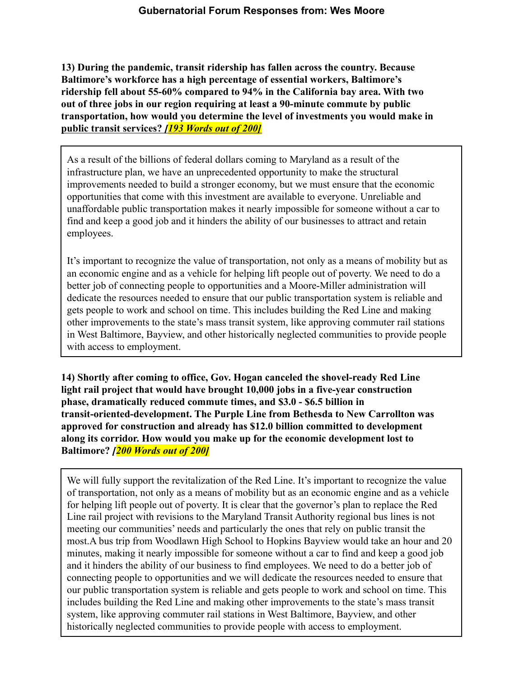**13) During the pandemic, transit ridership has fallen across the country. Because Baltimore's workforce has a high percentage of essential workers, Baltimore's ridership fell about 55-60% compared to 94% in the California bay area. With two out of three jobs in our region requiring at least a 90-minute commute by public transportation, how would you determine the level of investments you would make in public transit services?** *[193 Words out of 200]*

As a result of the billions of federal dollars coming to Maryland as a result of the infrastructure plan, we have an unprecedented opportunity to make the structural improvements needed to build a stronger economy, but we must ensure that the economic opportunities that come with this investment are available to everyone. Unreliable and unaffordable public transportation makes it nearly impossible for someone without a car to find and keep a good job and it hinders the ability of our businesses to attract and retain employees.

It's important to recognize the value of transportation, not only as a means of mobility but as an economic engine and as a vehicle for helping lift people out of poverty. We need to do a better job of connecting people to opportunities and a Moore-Miller administration will dedicate the resources needed to ensure that our public transportation system is reliable and gets people to work and school on time. This includes building the Red Line and making other improvements to the state's mass transit system, like approving commuter rail stations in West Baltimore, Bayview, and other historically neglected communities to provide people with access to employment.

**14) Shortly after coming to office, Gov. Hogan canceled the shovel-ready Red Line light rail project that would have brought 10,000 jobs in a five-year construction phase, dramatically reduced commute times, and \$3.0 - \$6.5 billion in transit-oriented-development. The Purple Line from Bethesda to New Carrollton was approved for construction and already has \$12.0 billion committed to development along its corridor. How would you make up for the economic development lost to Baltimore?** *[200 Words out of 200]*

We will fully support the revitalization of the Red Line. It's important to recognize the value of transportation, not only as a means of mobility but as an economic engine and as a vehicle for helping lift people out of poverty. It is clear that the governor's plan to replace the Red Line rail project with revisions to the Maryland Transit Authority regional bus lines is not meeting our communities' needs and particularly the ones that rely on public transit the most.A bus trip from Woodlawn High School to Hopkins Bayview would take an hour and 20 minutes, making it nearly impossible for someone without a car to find and keep a good job and it hinders the ability of our business to find employees. We need to do a better job of connecting people to opportunities and we will dedicate the resources needed to ensure that our public transportation system is reliable and gets people to work and school on time. This includes building the Red Line and making other improvements to the state's mass transit system, like approving commuter rail stations in West Baltimore, Bayview, and other historically neglected communities to provide people with access to employment.